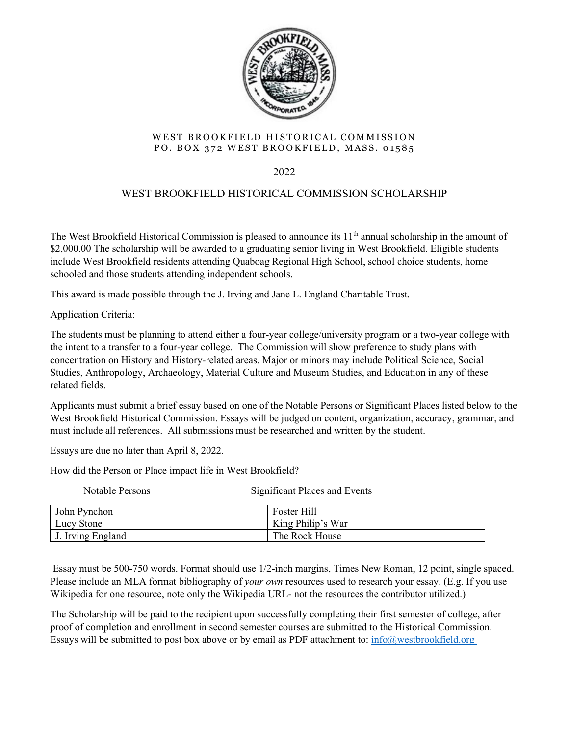

## WEST BROOKFIELD HISTORICAL COMMISSION PO. BOX 372 WEST BROOKFIELD, MASS. 01585

2022

## WEST BROOKFIELD HISTORICAL COMMISSION SCHOLARSHIP

The West Brookfield Historical Commission is pleased to announce its  $11<sup>th</sup>$  annual scholarship in the amount of \$2,000.00 The scholarship will be awarded to a graduating senior living in West Brookfield. Eligible students include West Brookfield residents attending Quaboag Regional High School, school choice students, home schooled and those students attending independent schools.

This award is made possible through the J. Irving and Jane L. England Charitable Trust.

Application Criteria:

The students must be planning to attend either a four-year college/university program or a two-year college with the intent to a transfer to a four-year college. The Commission will show preference to study plans with concentration on History and History-related areas. Major or minors may include Political Science, Social Studies, Anthropology, Archaeology, Material Culture and Museum Studies, and Education in any of these related fields.

Applicants must submit a brief essay based on one of the Notable Persons or Significant Places listed below to the West Brookfield Historical Commission. Essays will be judged on content, organization, accuracy, grammar, and must include all references. All submissions must be researched and written by the student.

Essays are due no later than April 8, 2022.

How did the Person or Place impact life in West Brookfield?

Notable Persons Significant Places and Events

| John Pynchon      | Foster Hill       |
|-------------------|-------------------|
| Lucy Stone        | King Philip's War |
| J. Irving England | The Rock House    |

Essay must be 500-750 words. Format should use 1/2-inch margins, Times New Roman, 12 point, single spaced. Please include an MLA format bibliography of *your own* resources used to research your essay. (E.g. If you use Wikipedia for one resource, note only the Wikipedia URL- not the resources the contributor utilized.)

The Scholarship will be paid to the recipient upon successfully completing their first semester of college, after proof of completion and enrollment in second semester courses are submitted to the Historical Commission. Essays will be submitted to post box above or by email as PDF attachment to:  $info@westbrookfield.org$